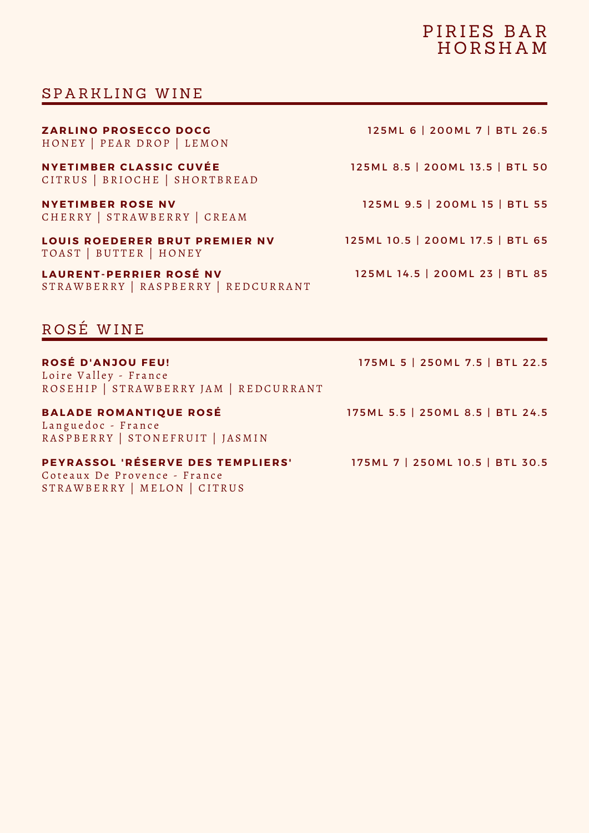## PIRIES BAR **HORSHAM**

### SPARKLING WINE

HONEY | PEAR DROP | LEMON **Z A R L I N O P R O SECC O D O C G** 1 2 5 M L 6 | 200 M L 7 | B T L 2 6 . 5

CITRUS | BRIOCHE | SHORTBREAD **N YET I M B E R CL A SSIC C U V ÉE**

**N YET I M B E R R O SE N V** CHERRY | STRAWBERRY | CREAM

STRAWBERRY | MELON | CITRUS

LOUIS ROEDERER BRUT PREMIER NV 125ML 10.5 | 200ML 17.5 | BTL 65 TOAST | BUTTER | HONEY

**L A U R E N T -PE R R IE R R O SÉ N V** STRAWBERRY | RASPBERRY | REDCURRANT

ROSÉ WINE

**R O SÉ D ' A N J O U FE U !** Loire Valley - France 175ML 5 | 250ML 7.5 | BTL 22.5 175ML 5.5 | 250ML 8.5 | BTL 24.5 ROSEHIP | STRAWBERRY JAM | REDCURRANT **BALADE ROMANTIQUE ROSÉ** Languedoc - France RASPBERRY | STONEFRUIT | JASMIN **PEY R A SS O L ' R ÉSE R V E D ES TE M PL IE R S'** Coteaux De Provence - France 175ML 7 | 250ML 10.5 | BTL 30.5

125ML 8.5 | 200ML 13.5 | BTL 50

125ML 9.5 | 200ML 15 | BTL 55

125ML 14.5 | 200ML 23 | BTL 85